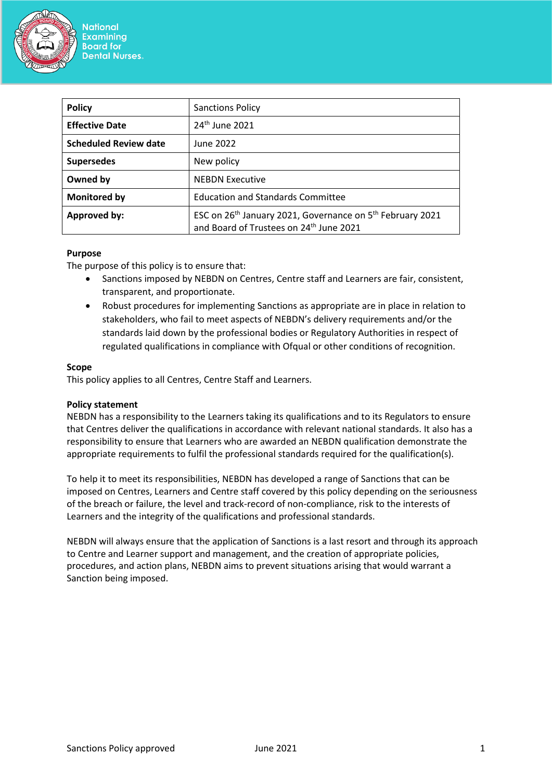

| <b>Policy</b>                | <b>Sanctions Policy</b>                                                                                                                  |
|------------------------------|------------------------------------------------------------------------------------------------------------------------------------------|
| <b>Effective Date</b>        | 24 <sup>th</sup> June 2021                                                                                                               |
| <b>Scheduled Review date</b> | June 2022                                                                                                                                |
| <b>Supersedes</b>            | New policy                                                                                                                               |
| Owned by                     | <b>NEBDN Executive</b>                                                                                                                   |
| <b>Monitored by</b>          | <b>Education and Standards Committee</b>                                                                                                 |
| <b>Approved by:</b>          | ESC on 26 <sup>th</sup> January 2021, Governance on 5 <sup>th</sup> February 2021<br>and Board of Trustees on 24 <sup>th</sup> June 2021 |

#### **Purpose**

The purpose of this policy is to ensure that:

- Sanctions imposed by NEBDN on Centres, Centre staff and Learners are fair, consistent, transparent, and proportionate.
- Robust procedures for implementing Sanctions as appropriate are in place in relation to stakeholders, who fail to meet aspects of NEBDN's delivery requirements and/or the standards laid down by the professional bodies or Regulatory Authorities in respect of regulated qualifications in compliance with Ofqual or other conditions of recognition.

## **Scope**

This policy applies to all Centres, Centre Staff and Learners.

## **Policy statement**

NEBDN has a responsibility to the Learners taking its qualifications and to its Regulators to ensure that Centres deliver the qualifications in accordance with relevant national standards. It also has a responsibility to ensure that Learners who are awarded an NEBDN qualification demonstrate the appropriate requirements to fulfil the professional standards required for the qualification(s).

To help it to meet its responsibilities, NEBDN has developed a range of Sanctions that can be imposed on Centres, Learners and Centre staff covered by this policy depending on the seriousness of the breach or failure, the level and track-record of non-compliance, risk to the interests of Learners and the integrity of the qualifications and professional standards.

NEBDN will always ensure that the application of Sanctions is a last resort and through its approach to Centre and Learner support and management, and the creation of appropriate policies, procedures, and action plans, NEBDN aims to prevent situations arising that would warrant a Sanction being imposed.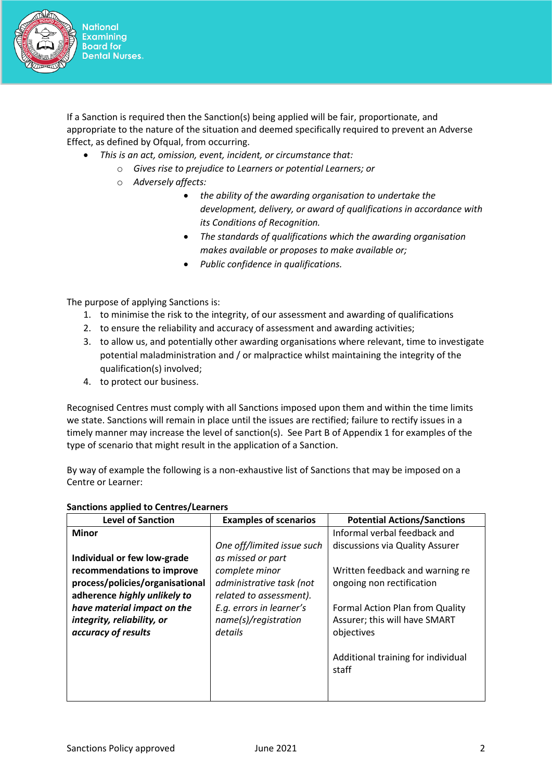

If a Sanction is required then the Sanction(s) being applied will be fair, proportionate, and appropriate to the nature of the situation and deemed specifically required to prevent an Adverse Effect, as defined by Ofqual, from occurring.

- *This is an act, omission, event, incident, or circumstance that:*
	- o *Gives rise to prejudice to Learners or potential Learners; or*
	- o *Adversely affects:*
		- *the ability of the awarding organisation to undertake the development, delivery, or award of qualifications in accordance with its Conditions of Recognition.*
		- *The standards of qualifications which the awarding organisation makes available or proposes to make available or;*
		- *Public confidence in qualifications.*

The purpose of applying Sanctions is:

- 1. to minimise the risk to the integrity, of our assessment and awarding of qualifications
- 2. to ensure the reliability and accuracy of assessment and awarding activities;
- 3. to allow us, and potentially other awarding organisations where relevant, time to investigate potential maladministration and / or malpractice whilst maintaining the integrity of the qualification(s) involved;
- 4. to protect our business.

Recognised Centres must comply with all Sanctions imposed upon them and within the time limits we state. Sanctions will remain in place until the issues are rectified; failure to rectify issues in a timely manner may increase the level of sanction(s). See Part B of Appendix 1 for examples of the type of scenario that might result in the application of a Sanction.

By way of example the following is a non-exhaustive list of Sanctions that may be imposed on a Centre or Learner:

| <b>Level of Sanction</b>        | <b>Examples of scenarios</b> | <b>Potential Actions/Sanctions</b> |
|---------------------------------|------------------------------|------------------------------------|
| <b>Minor</b>                    |                              | Informal verbal feedback and       |
|                                 | One off/limited issue such   | discussions via Quality Assurer    |
| Individual or few low-grade     | as missed or part            |                                    |
| recommendations to improve      | complete minor               | Written feedback and warning re    |
| process/policies/organisational | administrative task (not     | ongoing non rectification          |
| adherence highly unlikely to    | related to assessment).      |                                    |
| have material impact on the     | E.g. errors in learner's     | Formal Action Plan from Quality    |
| integrity, reliability, or      | name(s)/registration         | Assurer; this will have SMART      |
| accuracy of results             | details                      | objectives                         |
|                                 |                              |                                    |
|                                 |                              | Additional training for individual |
|                                 |                              | staff                              |
|                                 |                              |                                    |
|                                 |                              |                                    |

#### **Sanctions applied to Centres/Learners**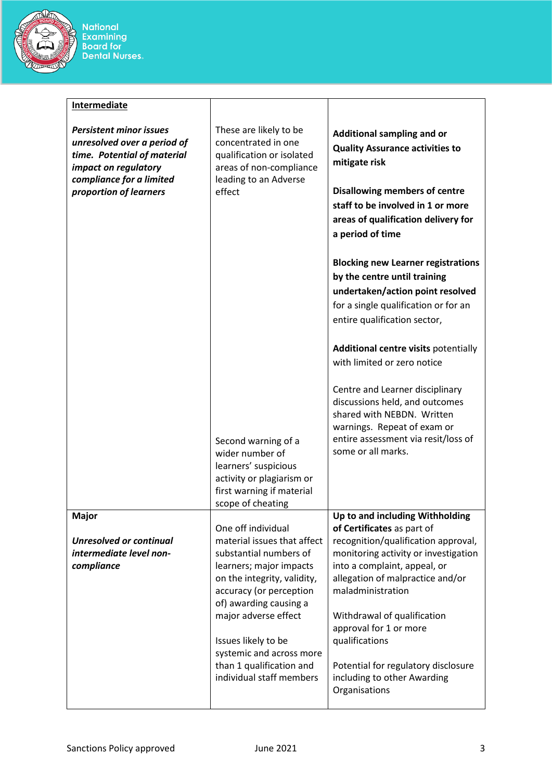

National<br>Examining<br>Board for<br>Dental Nurses.

| <b>Intermediate</b>                                                                                                                                                        |                                                                                                                                                                                                                                                                                                                               |                                                                                                                                                                                                                                                                                                                                                                                                         |
|----------------------------------------------------------------------------------------------------------------------------------------------------------------------------|-------------------------------------------------------------------------------------------------------------------------------------------------------------------------------------------------------------------------------------------------------------------------------------------------------------------------------|---------------------------------------------------------------------------------------------------------------------------------------------------------------------------------------------------------------------------------------------------------------------------------------------------------------------------------------------------------------------------------------------------------|
| <b>Persistent minor issues</b><br>unresolved over a period of<br>time. Potential of material<br>impact on regulatory<br>compliance for a limited<br>proportion of learners | These are likely to be<br>concentrated in one<br>qualification or isolated<br>areas of non-compliance<br>leading to an Adverse<br>effect                                                                                                                                                                                      | Additional sampling and or<br><b>Quality Assurance activities to</b><br>mitigate risk<br><b>Disallowing members of centre</b><br>staff to be involved in 1 or more<br>areas of qualification delivery for<br>a period of time                                                                                                                                                                           |
|                                                                                                                                                                            |                                                                                                                                                                                                                                                                                                                               | <b>Blocking new Learner registrations</b><br>by the centre until training<br>undertaken/action point resolved<br>for a single qualification or for an<br>entire qualification sector,<br>Additional centre visits potentially                                                                                                                                                                           |
|                                                                                                                                                                            | Second warning of a<br>wider number of<br>learners' suspicious<br>activity or plagiarism or<br>first warning if material<br>scope of cheating                                                                                                                                                                                 | with limited or zero notice<br>Centre and Learner disciplinary<br>discussions held, and outcomes<br>shared with NEBDN. Written<br>warnings. Repeat of exam or<br>entire assessment via resit/loss of<br>some or all marks.                                                                                                                                                                              |
| Major<br><b>Unresolved or continual</b><br>intermediate level non-<br>compliance                                                                                           | One off individual<br>material issues that affect<br>substantial numbers of<br>learners; major impacts<br>on the integrity, validity,<br>accuracy (or perception<br>of) awarding causing a<br>major adverse effect<br>Issues likely to be<br>systemic and across more<br>than 1 qualification and<br>individual staff members | Up to and including Withholding<br>of Certificates as part of<br>recognition/qualification approval,<br>monitoring activity or investigation<br>into a complaint, appeal, or<br>allegation of malpractice and/or<br>maladministration<br>Withdrawal of qualification<br>approval for 1 or more<br>qualifications<br>Potential for regulatory disclosure<br>including to other Awarding<br>Organisations |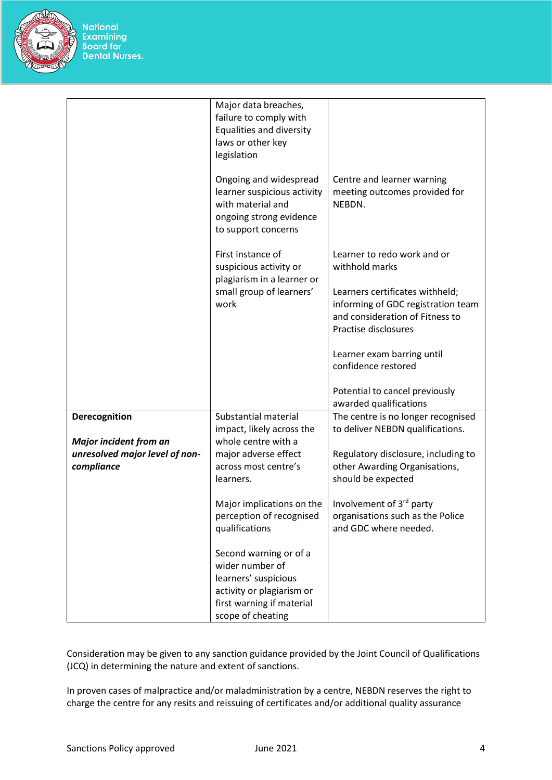

National<br>Examining<br>Board for<br>Dental Nurses.

|                                                                               | Major data breaches,<br>failure to comply with<br>Equalities and diversity<br>laws or other key<br>legislation               |                                                                                                                                  |
|-------------------------------------------------------------------------------|------------------------------------------------------------------------------------------------------------------------------|----------------------------------------------------------------------------------------------------------------------------------|
|                                                                               | Ongoing and widespread<br>learner suspicious activity<br>with material and<br>ongoing strong evidence<br>to support concerns | Centre and learner warning<br>meeting outcomes provided for<br>NEBDN.                                                            |
|                                                                               | First instance of<br>suspicious activity or                                                                                  | Learner to redo work and or<br>withhold marks                                                                                    |
|                                                                               | plagiarism in a learner or<br>small group of learners'<br>work                                                               | Learners certificates withheld;<br>informing of GDC registration team<br>and consideration of Fitness to<br>Practise disclosures |
|                                                                               |                                                                                                                              | Learner exam barring until<br>confidence restored                                                                                |
|                                                                               |                                                                                                                              | Potential to cancel previously<br>awarded qualifications                                                                         |
| Derecognition                                                                 | Substantial material<br>impact, likely across the                                                                            | The centre is no longer recognised<br>to deliver NEBDN qualifications.                                                           |
| <b>Major incident from an</b><br>unresolved major level of non-<br>compliance | whole centre with a<br>major adverse effect<br>across most centre's<br>learners.                                             | Regulatory disclosure, including to<br>other Awarding Organisations,<br>should be expected                                       |
|                                                                               | Major implications on the<br>perception of recognised<br>qualifications                                                      | Involvement of 3 <sup>rd</sup> party<br>organisations such as the Police<br>and GDC where needed.                                |
|                                                                               | Second warning or of a<br>wider number of<br>learners' suspicious<br>activity or plagiarism or<br>first warning if material  |                                                                                                                                  |
|                                                                               | scope of cheating                                                                                                            |                                                                                                                                  |

Consideration may be given to any sanction guidance provided by the Joint Council of Qualifications (JCQ) in determining the nature and extent of sanctions.

In proven cases of malpractice and/or maladministration by a centre, NEBDN reserves the right to charge the centre for any resits and reissuing of certificates and/or additional quality assurance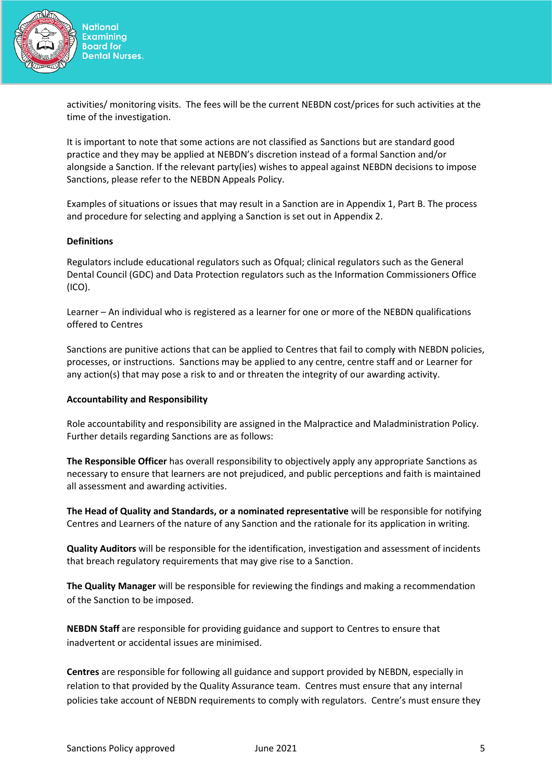

activities/ monitoring visits. The fees will be the current NEBDN cost/prices for such activities at the time of the investigation.

It is important to note that some actions are not classified as Sanctions but are standard good practice and they may be applied at NEBDN's discretion instead of a formal Sanction and/or alongside a Sanction. If the relevant party(ies) wishes to appeal against NEBDN decisions to impose Sanctions, please refer to the NEBDN Appeals Policy.

Examples of situations or issues that may result in a Sanction are in Appendix 1, Part B. The process and procedure for selecting and applying a Sanction is set out in Appendix 2.

#### **Definitions**

Regulators include educational regulators such as Ofqual; clinical regulators such as the General Dental Council (GDC) and Data Protection regulators such as the Information Commissioners Office (ICO).

Learner – An individual who is registered as a learner for one or more of the NEBDN qualifications offered to Centres

Sanctions are punitive actions that can be applied to Centres that fail to comply with NEBDN policies, processes, or instructions. Sanctions may be applied to any centre, centre staff and or Learner for any action(s) that may pose a risk to and or threaten the integrity of our awarding activity.

## **Accountability and Responsibility**

Role accountability and responsibility are assigned in the Malpractice and Maladministration Policy. Further details regarding Sanctions are as follows:

**The Responsible Officer** has overall responsibility to objectively apply any appropriate Sanctions as necessary to ensure that learners are not prejudiced, and public perceptions and faith is maintained all assessment and awarding activities.

**The Head of Quality and Standards, or a nominated representative** will be responsible for notifying Centres and Learners of the nature of any Sanction and the rationale for its application in writing.

**Quality Auditors** will be responsible for the identification, investigation and assessment of incidents that breach regulatory requirements that may give rise to a Sanction.

**The Quality Manager** will be responsible for reviewing the findings and making a recommendation of the Sanction to be imposed.

**NEBDN Staff** are responsible for providing guidance and support to Centres to ensure that inadvertent or accidental issues are minimised.

**Centres** are responsible for following all guidance and support provided by NEBDN, especially in relation to that provided by the Quality Assurance team. Centres must ensure that any internal policies take account of NEBDN requirements to comply with regulators. Centre's must ensure they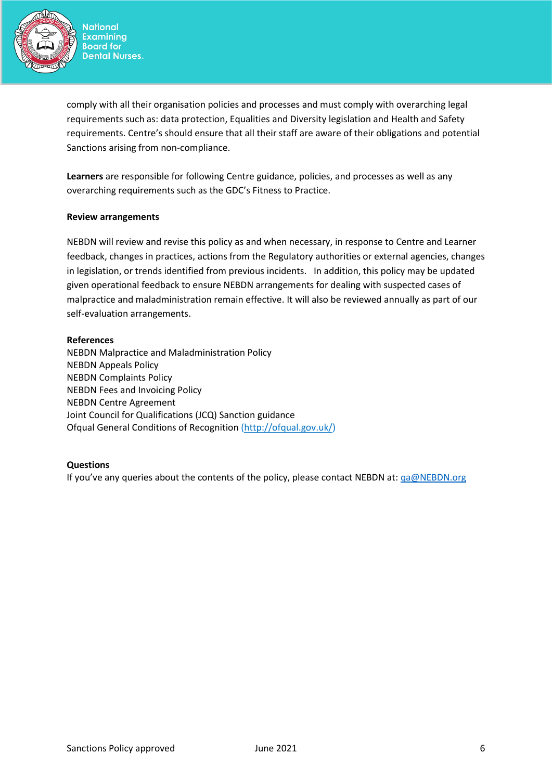

comply with all their organisation policies and processes and must comply with overarching legal requirements such as: data protection, Equalities and Diversity legislation and Health and Safety requirements. Centre's should ensure that all their staff are aware of their obligations and potential Sanctions arising from non-compliance.

**Learners** are responsible for following Centre guidance, policies, and processes as well as any overarching requirements such as the GDC's Fitness to Practice.

#### **Review arrangements**

NEBDN will review and revise this policy as and when necessary, in response to Centre and Learner feedback, changes in practices, actions from the Regulatory authorities or external agencies, changes in legislation, or trends identified from previous incidents. In addition, this policy may be updated given operational feedback to ensure NEBDN arrangements for dealing with suspected cases of malpractice and maladministration remain effective. It will also be reviewed annually as part of our self-evaluation arrangements.

#### **References**

NEBDN Malpractice and Maladministration Policy NEBDN Appeals Policy NEBDN Complaints Policy NEBDN Fees and Invoicing Policy NEBDN Centre Agreement Joint Council for Qualifications (JCQ) Sanction guidance Ofqual General Conditions of Recognition [\(http://ofqual.gov.uk/\)](http://ofqual.gov.uk/)

## **Questions**

If you've any queries about the contents of the policy, please contact NEBDN at: [qa@NEBDN.org](mailto:qa@NEBDN.org)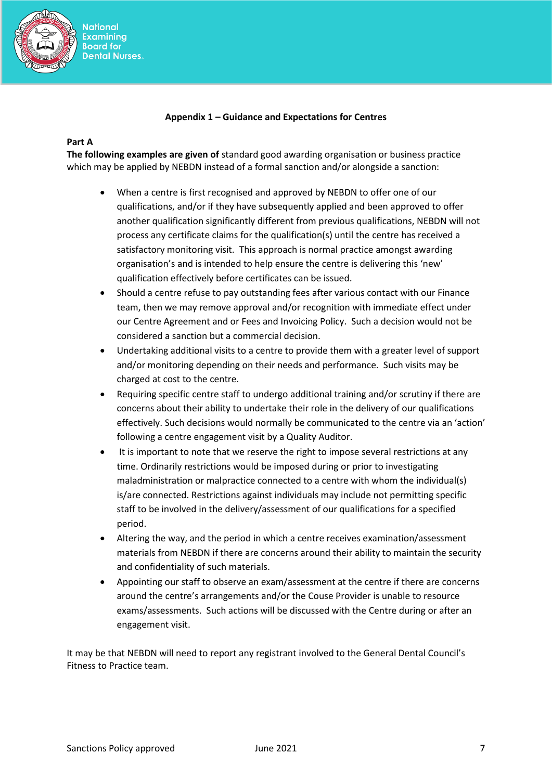

## **Appendix 1 – Guidance and Expectations for Centres**

#### **Part A**

**The following examples are given of** standard good awarding organisation or business practice which may be applied by NEBDN instead of a formal sanction and/or alongside a sanction:

- When a centre is first recognised and approved by NEBDN to offer one of our qualifications, and/or if they have subsequently applied and been approved to offer another qualification significantly different from previous qualifications, NEBDN will not process any certificate claims for the qualification(s) until the centre has received a satisfactory monitoring visit. This approach is normal practice amongst awarding organisation's and is intended to help ensure the centre is delivering this 'new' qualification effectively before certificates can be issued.
- Should a centre refuse to pay outstanding fees after various contact with our Finance team, then we may remove approval and/or recognition with immediate effect under our Centre Agreement and or Fees and Invoicing Policy. Such a decision would not be considered a sanction but a commercial decision.
- Undertaking additional visits to a centre to provide them with a greater level of support and/or monitoring depending on their needs and performance. Such visits may be charged at cost to the centre.
- Requiring specific centre staff to undergo additional training and/or scrutiny if there are concerns about their ability to undertake their role in the delivery of our qualifications effectively. Such decisions would normally be communicated to the centre via an 'action' following a centre engagement visit by a Quality Auditor.
- It is important to note that we reserve the right to impose several restrictions at any time. Ordinarily restrictions would be imposed during or prior to investigating maladministration or malpractice connected to a centre with whom the individual(s) is/are connected. Restrictions against individuals may include not permitting specific staff to be involved in the delivery/assessment of our qualifications for a specified period.
- Altering the way, and the period in which a centre receives examination/assessment materials from NEBDN if there are concerns around their ability to maintain the security and confidentiality of such materials.
- Appointing our staff to observe an exam/assessment at the centre if there are concerns around the centre's arrangements and/or the Couse Provider is unable to resource exams/assessments. Such actions will be discussed with the Centre during or after an engagement visit.

It may be that NEBDN will need to report any registrant involved to the General Dental Council's Fitness to Practice team.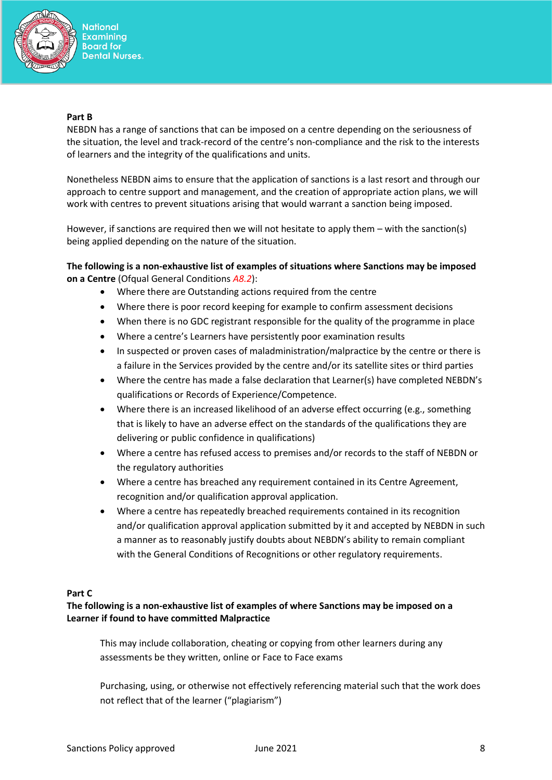

#### **Part B**

NEBDN has a range of sanctions that can be imposed on a centre depending on the seriousness of the situation, the level and track-record of the centre's non-compliance and the risk to the interests of learners and the integrity of the qualifications and units.

Nonetheless NEBDN aims to ensure that the application of sanctions is a last resort and through our approach to centre support and management, and the creation of appropriate action plans, we will work with centres to prevent situations arising that would warrant a sanction being imposed.

However, if sanctions are required then we will not hesitate to apply them – with the sanction(s) being applied depending on the nature of the situation.

# **The following is a non-exhaustive list of examples of situations where Sanctions may be imposed on a Centre** (Ofqual General Conditions *A8.2*):

- Where there are Outstanding actions required from the centre
- Where there is poor record keeping for example to confirm assessment decisions
- When there is no GDC registrant responsible for the quality of the programme in place
- Where a centre's Learners have persistently poor examination results
- In suspected or proven cases of maladministration/malpractice by the centre or there is a failure in the Services provided by the centre and/or its satellite sites or third parties
- Where the centre has made a false declaration that Learner(s) have completed NEBDN's qualifications or Records of Experience/Competence.
- Where there is an increased likelihood of an adverse effect occurring (e.g., something that is likely to have an adverse effect on the standards of the qualifications they are delivering or public confidence in qualifications)
- Where a centre has refused access to premises and/or records to the staff of NEBDN or the regulatory authorities
- Where a centre has breached any requirement contained in its Centre Agreement, recognition and/or qualification approval application.
- Where a centre has repeatedly breached requirements contained in its recognition and/or qualification approval application submitted by it and accepted by NEBDN in such a manner as to reasonably justify doubts about NEBDN's ability to remain compliant with the General Conditions of Recognitions or other regulatory requirements.

## **Part C**

## **The following is a non-exhaustive list of examples of where Sanctions may be imposed on a Learner if found to have committed Malpractice**

This may include collaboration, cheating or copying from other learners during any assessments be they written, online or Face to Face exams

Purchasing, using, or otherwise not effectively referencing material such that the work does not reflect that of the learner ("plagiarism")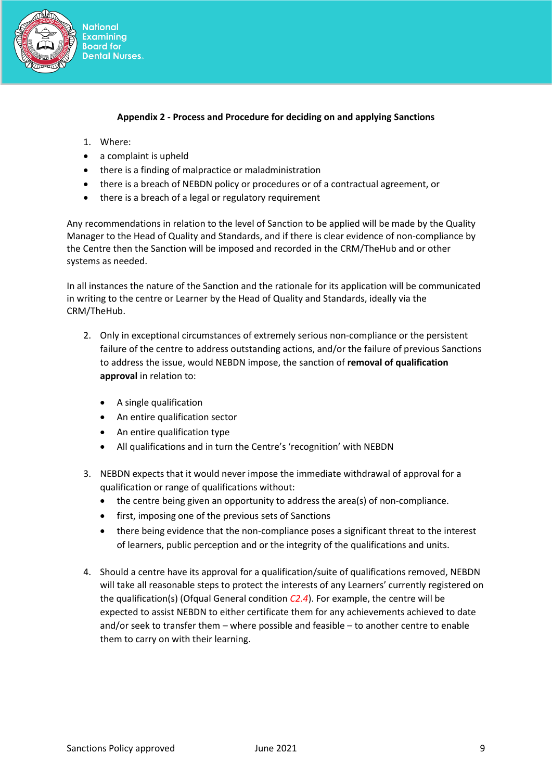

## **Appendix 2 - Process and Procedure for deciding on and applying Sanctions**

- 1. Where:
- a complaint is upheld
- there is a finding of malpractice or maladministration
- there is a breach of NEBDN policy or procedures or of a contractual agreement, or
- there is a breach of a legal or regulatory requirement

Any recommendations in relation to the level of Sanction to be applied will be made by the Quality Manager to the Head of Quality and Standards, and if there is clear evidence of non-compliance by the Centre then the Sanction will be imposed and recorded in the CRM/TheHub and or other systems as needed.

In all instances the nature of the Sanction and the rationale for its application will be communicated in writing to the centre or Learner by the Head of Quality and Standards, ideally via the CRM/TheHub.

- 2. Only in exceptional circumstances of extremely serious non-compliance or the persistent failure of the centre to address outstanding actions, and/or the failure of previous Sanctions to address the issue, would NEBDN impose, the sanction of **removal of qualification approval** in relation to:
	- A single qualification
	- An entire qualification sector
	- An entire qualification type
	- All qualifications and in turn the Centre's 'recognition' with NEBDN
- 3. NEBDN expects that it would never impose the immediate withdrawal of approval for a qualification or range of qualifications without:
	- the centre being given an opportunity to address the area(s) of non-compliance.
	- first, imposing one of the previous sets of Sanctions
	- there being evidence that the non-compliance poses a significant threat to the interest of learners, public perception and or the integrity of the qualifications and units.
- 4. Should a centre have its approval for a qualification/suite of qualifications removed, NEBDN will take all reasonable steps to protect the interests of any Learners' currently registered on the qualification(s) (Ofqual General condition *C2.4*). For example, the centre will be expected to assist NEBDN to either certificate them for any achievements achieved to date and/or seek to transfer them – where possible and feasible – to another centre to enable them to carry on with their learning.